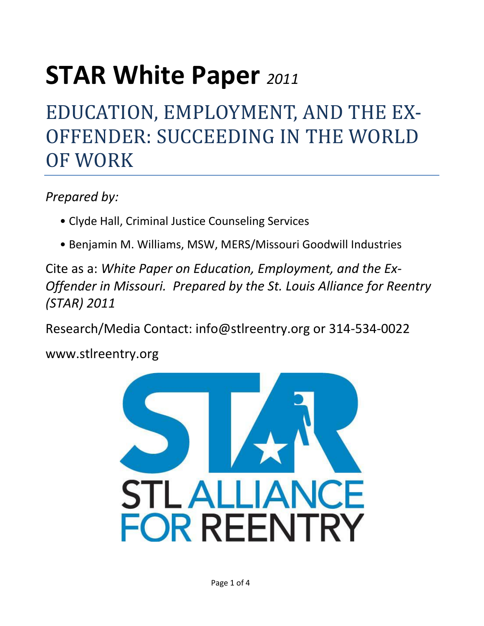# **STAR White Paper** *<sup>2011</sup>*

## EDUCATION, EMPLOYMENT, AND THE EX-OFFENDER: SUCCEEDING IN THE WORLD OF WORK

*Prepared by:* 

- Clyde Hall, Criminal Justice Counseling Services
- Benjamin M. Williams, MSW, MERS/Missouri Goodwill Industries

Cite as a: *White Paper on Education, Employment, and the Ex-Offender in Missouri. Prepared by the St. Louis Alliance for Reentry (STAR) 2011* 

Research/Media Contact: info@stlreentry.org or 314-534-0022

www.stlreentry.org

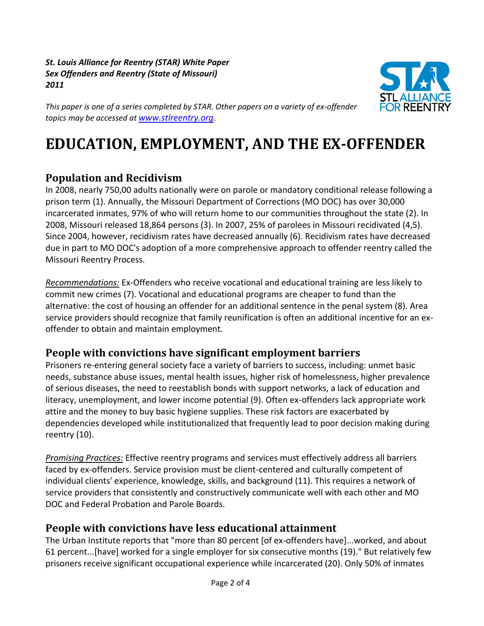*St. Louis Alliance for Reentry (STAR) White Paper Sex Offenders and Reentry (State of Missouri) 2011*



*This paper is one of a series completed by STAR. Other papers on a variety of ex-offender topics may be accessed at [www.stlreentry.org](http://www.stlreentry.org/).* 

### **EDUCATION, EMPLOYMENT, AND THE EX-OFFENDER**

#### **Population and Recidivism**

In 2008, nearly 750,00 adults nationally were on parole or mandatory conditional release following a prison term (1). Annually, the Missouri Department of Corrections (MO DOC) has over 30,000 incarcerated inmates, 97% of who will return home to our communities throughout the state (2). In 2008, Missouri released 18,864 persons (3). In 2007, 25% of parolees in Missouri recidivated (4,5). Since 2004, however, recidivism rates have decreased annually (6). Recidivism rates have decreased due in part to MO DOC's adoption of a more comprehensive approach to offender reentry called the Missouri Reentry Process.

*Recommendations:* Ex-Offenders who receive vocational and educational training are less likely to commit new crimes (7). Vocational and educational programs are cheaper to fund than the alternative: the cost of housing an offender for an additional sentence in the penal system (8). Area service providers should recognize that family reunification is often an additional incentive for an exoffender to obtain and maintain employment.

#### **People with convictions have significant employment barriers**

Prisoners re-entering general society face a variety of barriers to success, including: unmet basic needs, substance abuse issues, mental health issues, higher risk of homelessness, higher prevalence of serious diseases, the need to reestablish bonds with support networks, a lack of education and literacy, unemployment, and lower income potential (9). Often ex-offenders lack appropriate work attire and the money to buy basic hygiene supplies. These risk factors are exacerbated by dependencies developed while institutionalized that frequently lead to poor decision making during reentry (10).

*Promising Practices:* Effective reentry programs and services must effectively address all barriers faced by ex-offenders. Service provision must be client-centered and culturally competent of individual clients' experience, knowledge, skills, and background (11). This requires a network of service providers that consistently and constructively communicate well with each other and MO DOC and Federal Probation and Parole Boards.

#### **People with convictions have less educational attainment**

The Urban Institute reports that "more than 80 percent [of ex-offenders have]...worked, and about 61 percent...[have] worked for a single employer for six consecutive months (19)." But relatively few prisoners receive significant occupational experience while incarcerated (20). Only 50% of inmates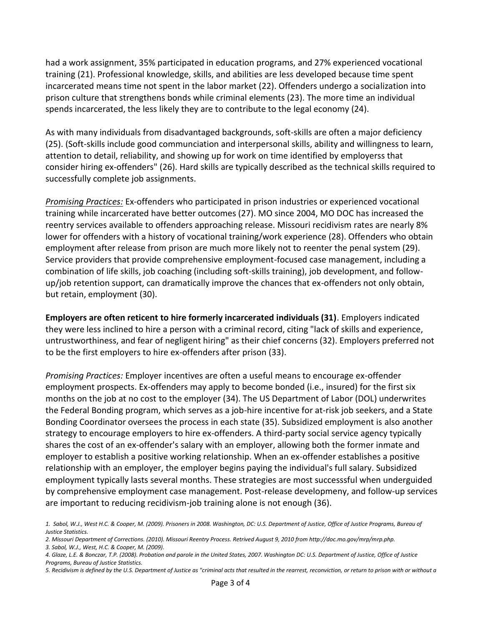had a work assignment, 35% participated in education programs, and 27% experienced vocational training (21). Professional knowledge, skills, and abilities are less developed because time spent incarcerated means time not spent in the labor market (22). Offenders undergo a socialization into prison culture that strengthens bonds while criminal elements (23). The more time an individual spends incarcerated, the less likely they are to contribute to the legal economy (24).

As with many individuals from disadvantaged backgrounds, soft-skills are often a major deficiency (25). (Soft-skills include good communciation and interpersonal skills, ability and willingness to learn, attention to detail, reliability, and showing up for work on time identified by employerss that consider hiring ex-offenders" (26). Hard skills are typically described as the technical skills required to successfully complete job assignments.

*Promising Practices:* Ex-offenders who participated in prison industries or experienced vocational training while incarcerated have better outcomes (27). MO since 2004, MO DOC has increased the reentry services available to offenders approaching release. Missouri recidivism rates are nearly 8% lower for offenders with a history of vocational training/work experience (28). Offenders who obtain employment after release from prison are much more likely not to reenter the penal system (29). Service providers that provide comprehensive employment-focused case management, including a combination of life skills, job coaching (including soft-skills training), job development, and followup/job retention support, can dramatically improve the chances that ex-offenders not only obtain, but retain, employment (30).

**Employers are often reticent to hire formerly incarcerated individuals (31)**. Employers indicated they were less inclined to hire a person with a criminal record, citing "lack of skills and experience, untrustworthiness, and fear of negligent hiring" as their chief concerns (32). Employers preferred not to be the first employers to hire ex-offenders after prison (33).

*Promising Practices:* Employer incentives are often a useful means to encourage ex-offender employment prospects. Ex-offenders may apply to become bonded (i.e., insured) for the first six months on the job at no cost to the employer (34). The US Department of Labor (DOL) underwrites the Federal Bonding program, which serves as a job-hire incentive for at-risk job seekers, and a State Bonding Coordinator oversees the process in each state (35). Subsidized employment is also another strategy to encourage employers to hire ex-offenders. A third-party social service agency typically shares the cost of an ex-offender's salary with an employer, allowing both the former inmate and employer to establish a positive working relationship. When an ex-offender establishes a positive relationship with an employer, the employer begins paying the individual's full salary. Subsidized employment typically lasts several months. These strategies are most successsful when underguided by comprehensive employment case management. Post-release developmeny, and follow-up services are important to reducing recidivism-job training alone is not enough (36).

*3. Sabol, W.J., West, H.C. & Cooper, M. (2009).*

*<sup>1.</sup> Sabol, W.J., West H.C. & Cooper, M. (2009). Prisoners in 2008. Washington, DC: U.S. Department of Justice, Office of Justice Programs, Bureau of Justice Statistics.*

*<sup>2.</sup> Missouri Department of Corrections. (2010). Missouri Reentry Process. Retrived August 9, 2010 from http://doc.mo.gov/mrp/mrp.php.*

*<sup>4.</sup> Glaze, L.E. & Bonczar, T.P. (2008). Probation and parole in the United States, 2007. Washington DC: U.S. Department of Justice, Office of Justice Programs, Bureau of Justice Statistics.*

*<sup>5.</sup> Recidivism is defined by the U.S. Department of Justice as "criminal acts that resulted in the rearrest, reconviction, or return to prison with or without a*